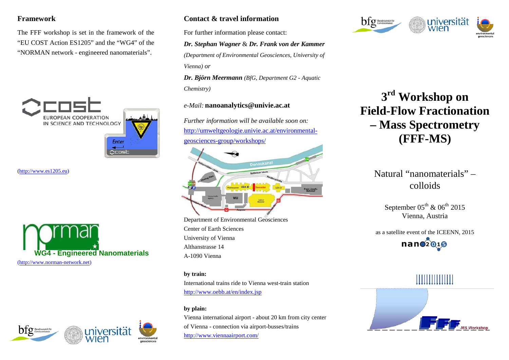### **Framework**

The FFF workshop is set in the framework of the "EU COST Action ES1205" and the "WG4" of the "NORMAN network - engineered nanomaterials".



[\(http://www.es1205.eu\)](http://www.es1205.eu/)





### **Contact & travel information**

For further information please contact:

### *Dr. Stephan Wagner* & *Dr. Frank von der Kammer*

*(Department of Environmental Geosciences, University of Vienna) or*

*Dr. Björn Meermann (BfG, Department G2 - Aquatic Chemistry)*

### *e-Mail:* **nanoanalytics@univie.ac.at**

*Further information will be available soon on:* [http://umweltgeologie.univie.ac.at/environmental](http://umweltgeologie.univie.ac.at/environmental-geosciences-group/workshops/)[geosciences-group/workshops/](http://umweltgeologie.univie.ac.at/environmental-geosciences-group/workshops/)



Department of Environmental Geosciences Center of Earth Sciences University of Vienna Althanstrasse 14 A-1090 Vienna

#### **by train:**

International trains ride to Vienna west-train station <http://www.oebb.at/en/index.jsp>

### **by plain:**

Vienna international airport - about 20 km from city center of Vienna - connection via airport-busses/trains <http://www.viennaairport.com/>



# **3rd Workshop on Field-Flow Fractionation – Mass Spectrometry (FFF-MS)**

## Natural "nanomaterials" – colloids

September  $05^{th}$  &  $06^{th}$  2015 Vienna, Austria

as a satellite event of the ICEENN, 2015  $nan02019$